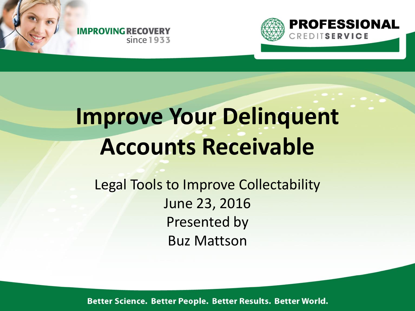$since 1933$ 

**IMPROVING RECOVERY** 



# **Improve Your Delinquent Accounts Receivable**

Legal Tools to Improve Collectability June 23, 2016 Presented by Buz Mattson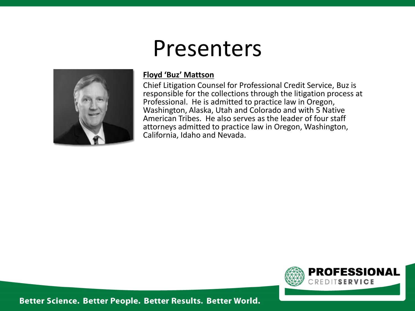

## Presenters

#### **Floyd 'Buz' Mattson**

Chief Litigation Counsel for Professional Credit Service, Buz is responsible for the collections through the litigation process at Professional. He is admitted to practice law in Oregon, Washington, Alaska, Utah and Colorado and with 5 Native American Tribes. He also serves as the leader of four staff attorneys admitted to practice law in Oregon, Washington, California, Idaho and Nevada.

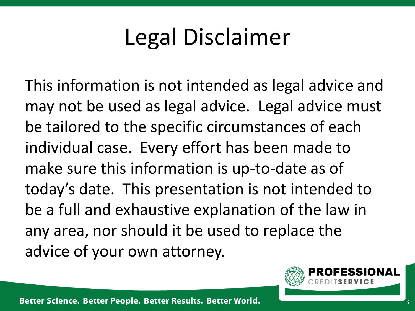# Legal Disclaimer

This information is not intended as legal advice and may not be used as legal advice. Legal advice must be tailored to the specific circumstances of each individual case. Every effort has been made to make sure this information is up-to-date as of today's date. This presentation is not intended to be a full and exhaustive explanation of the law in any area, nor should it be used to replace the advice of your own attorney.

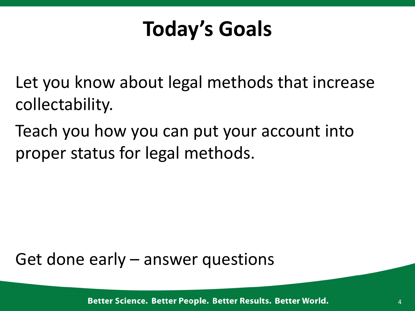## **Today's Goals**

Let you know about legal methods that increase collectability.

Teach you how you can put your account into proper status for legal methods.

Get done early – answer questions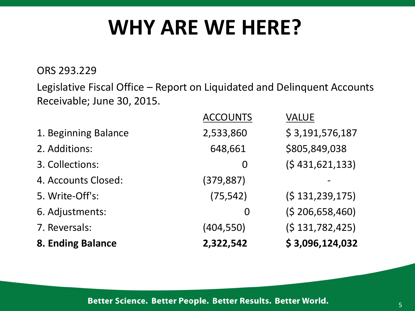## **WHY ARE WE HERE?**

ORS 293.229

Legislative Fiscal Office – Report on Liquidated and Delinquent Accounts Receivable; June 30, 2015.

| 8. Ending Balance    | 2,322,542       | \$3,096,124,032  |
|----------------------|-----------------|------------------|
| 7. Reversals:        | (404, 550)      | (5131, 782, 425) |
| 6. Adjustments:      | $\overline{0}$  | (5206, 658, 460) |
| 5. Write-Off's:      | (75, 542)       | (5131, 239, 175) |
| 4. Accounts Closed:  | (379, 887)      |                  |
| 3. Collections:      | 0               | (5431, 621, 133) |
| 2. Additions:        | 648,661         | \$805,849,038    |
| 1. Beginning Balance | 2,533,860       | \$3,191,576,187  |
|                      | <b>ACCOUNTS</b> | <b>VALUE</b>     |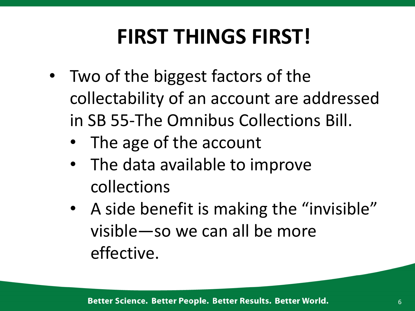# **FIRST THINGS FIRST!**

- Two of the biggest factors of the collectability of an account are addressed in SB 55-The Omnibus Collections Bill.
	- The age of the account
	- The data available to improve collections
	- A side benefit is making the "invisible" visible—so we can all be more effective.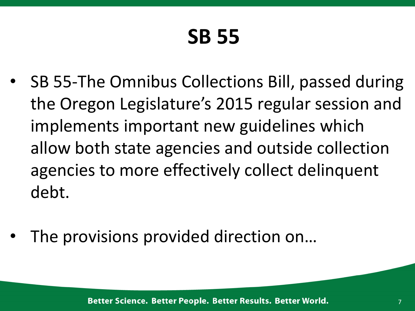# **SB 55**

- SB 55-The Omnibus Collections Bill, passed during the Oregon Legislature's 2015 regular session and implements important new guidelines which allow both state agencies and outside collection agencies to more effectively collect delinquent debt.
- The provisions provided direction on...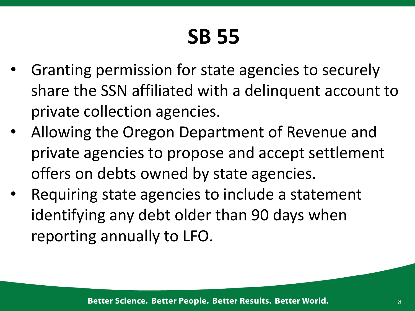# **SB 55**

- Granting permission for state agencies to securely share the SSN affiliated with a delinquent account to private collection agencies.
- Allowing the Oregon Department of Revenue and private agencies to propose and accept settlement offers on debts owned by state agencies.
- Requiring state agencies to include a statement identifying any debt older than 90 days when reporting annually to LFO.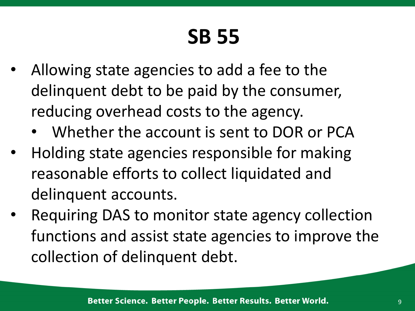# **SB 55**

- Allowing state agencies to add a fee to the delinquent debt to be paid by the consumer, reducing overhead costs to the agency.
	- Whether the account is sent to DOR or PCA
- Holding state agencies responsible for making reasonable efforts to collect liquidated and delinquent accounts.
- Requiring DAS to monitor state agency collection functions and assist state agencies to improve the collection of delinquent debt.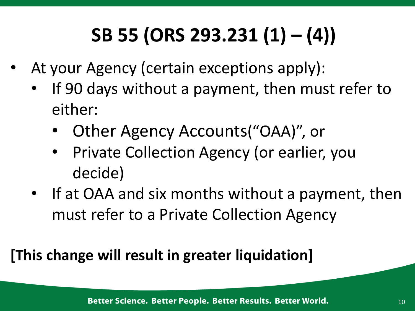# **SB 55 (ORS 293.231 (1) – (4))**

- At your Agency (certain exceptions apply):
	- If 90 days without a payment, then must refer to either:
		- Other Agency Accounts("OAA)", or
		- Private Collection Agency (or earlier, you decide)
	- If at OAA and six months without a payment, then must refer to a Private Collection Agency

#### **[This change will result in greater liquidation]**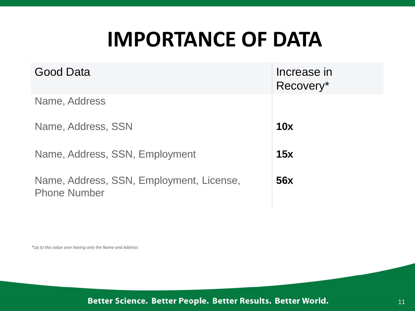## **IMPORTANCE OF DATA**

| Good Data                                                       | Increase in<br>Recovery* |
|-----------------------------------------------------------------|--------------------------|
| Name, Address                                                   |                          |
| Name, Address, SSN                                              | 10x                      |
| Name, Address, SSN, Employment                                  | 15x                      |
| Name, Address, SSN, Employment, License,<br><b>Phone Number</b> | 56x                      |

*\*Up to this value over having only the Name and Address*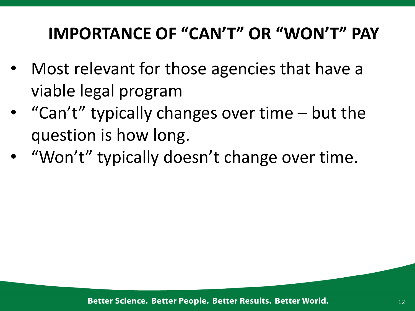#### **IMPORTANCE OF "CAN'T" OR "WON'T" PAY**

- Most relevant for those agencies that have a viable legal program
- "Can't" typically changes over time but the question is how long.
- "Won't" typically doesn't change over time.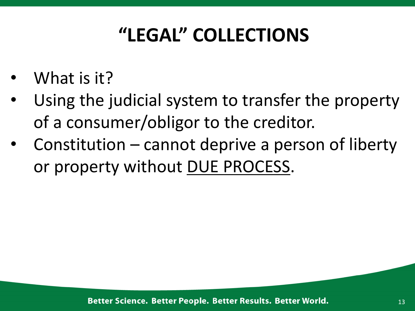## **"LEGAL" COLLECTIONS**

- What is it?
- Using the judicial system to transfer the property of a consumer/obligor to the creditor.
- Constitution  $-$  cannot deprive a person of liberty or property without DUE PROCESS.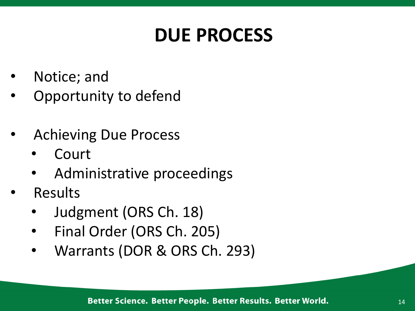#### **DUE PROCESS**

- Notice; and
- Opportunity to defend
- Achieving Due Process
	- **Court**
	- Administrative proceedings
- Results
	- Judgment (ORS Ch. 18)
	- Final Order (ORS Ch. 205)
	- Warrants (DOR & ORS Ch. 293)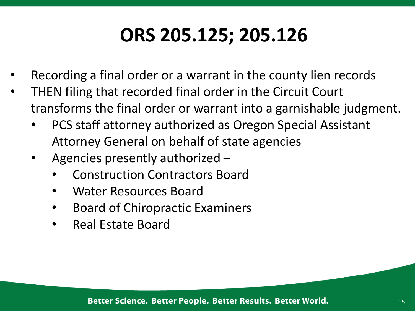#### **ORS 205.125; 205.126**

- Recording a final order or a warrant in the county lien records
- THEN filing that recorded final order in the Circuit Court transforms the final order or warrant into a garnishable judgment.
	- PCS staff attorney authorized as Oregon Special Assistant Attorney General on behalf of state agencies
	- Agencies presently authorized
		- Construction Contractors Board
		- Water Resources Board
		- Board of Chiropractic Examiners
		- Real Estate Board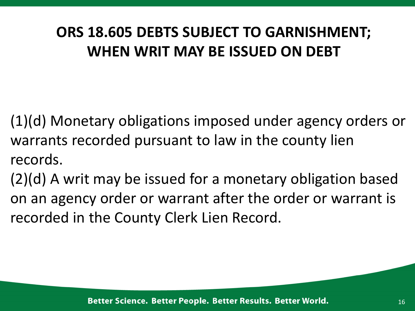#### **ORS 18.605 DEBTS SUBJECT TO GARNISHMENT; WHEN WRIT MAY BE ISSUED ON DEBT**

(1)(d) Monetary obligations imposed under agency orders or warrants recorded pursuant to law in the county lien records.

(2)(d) A writ may be issued for a monetary obligation based on an agency order or warrant after the order or warrant is recorded in the County Clerk Lien Record.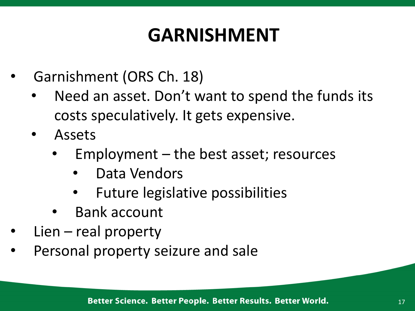#### **GARNISHMENT**

- Garnishment (ORS Ch. 18)
	- Need an asset. Don't want to spend the funds its costs speculatively. It gets expensive.
	- **Assets** 
		- $Employment the best asset; resources$ 
			- Data Vendors
			- Future legislative possibilities
		- Bank account
- $Lien real property$
- Personal property seizure and sale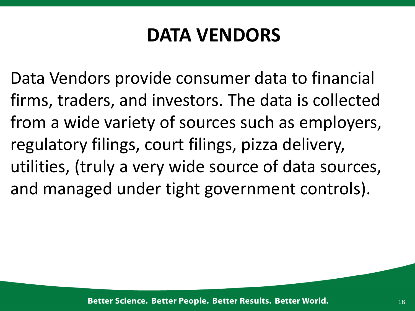#### **DATA VENDORS**

Data Vendors provide consumer data to financial firms, traders, and investors. The data is collected from a wide variety of sources such as employers, regulatory filings, court filings, pizza delivery, utilities, (truly a very wide source of data sources, and managed under tight government controls).